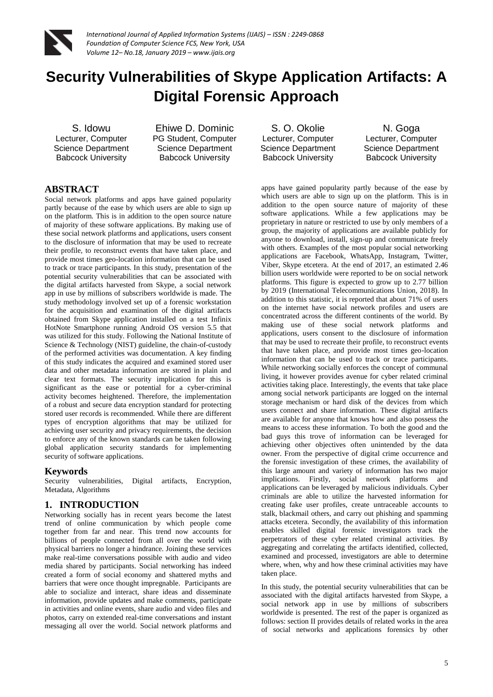

# **Security Vulnerabilities of Skype Application Artifacts: A Digital Forensic Approach**

S. Idowu Lecturer, Computer Science Department Babcock University

Ehiwe D. Dominic PG Student, Computer Science Department Babcock University

S. O. Okolie Lecturer, Computer Science Department Babcock University

N. Goga Lecturer, Computer Science Department Babcock University

## **ABSTRACT**

Social network platforms and apps have gained popularity partly because of the ease by which users are able to sign up on the platform. This is in addition to the open source nature of majority of these software applications. By making use of these social network platforms and applications, users consent to the disclosure of information that may be used to recreate their profile, to reconstruct events that have taken place, and provide most times geo-location information that can be used to track or trace participants. In this study, presentation of the potential security vulnerabilities that can be associated with the digital artifacts harvested from Skype, a social network app in use by millions of subscribers worldwide is made. The study methodology involved set up of a forensic workstation for the acquisition and examination of the digital artifacts obtained from Skype application installed on a test Infinix HotNote Smartphone running Android OS version 5.5 that was utilized for this study. Following the National Institute of Science & Technology (NIST) guideline, the chain-of-custody of the performed activities was documentation. A key finding of this study indicates the acquired and examined stored user data and other metadata information are stored in plain and clear text formats. The security implication for this is significant as the ease or potential for a cyber-criminal activity becomes heightened. Therefore, the implementation of a robust and secure data encryption standard for protecting stored user records is recommended. While there are different types of encryption algorithms that may be utilized for achieving user security and privacy requirements, the decision to enforce any of the known standards can be taken following global application security standards for implementing security of software applications.

## **Keywords**

Security vulnerabilities, Digital artifacts, Encryption, Metadata, Algorithms

## **1. INTRODUCTION**

Networking socially has in recent years become the latest trend of online communication by which people come together from far and near. This trend now accounts for billions of people connected from all over the world with physical barriers no longer a hindrance. Joining these services make real-time conversations possible with audio and video media shared by participants. Social networking has indeed created a form of social economy and shattered myths and barriers that were once thought impregnable. Participants are able to socialize and interact, share ideas and disseminate information, provide updates and make comments, participate in activities and online events, share audio and video files and photos, carry on extended real-time conversations and instant messaging all over the world. Social network platforms and

apps have gained popularity partly because of the ease by which users are able to sign up on the platform. This is in addition to the open source nature of majority of these software applications. While a few applications may be proprietary in nature or restricted to use by only members of a group, the majority of applications are available publicly for anyone to download, install, sign-up and communicate freely with others. Examples of the most popular social networking applications are Facebook, WhatsApp, Instagram, Twitter, Viber, Skype etcetera. At the end of 2017, an estimated 2.46 billion users worldwide were reported to be on social network platforms. This figure is expected to grow up to 2.77 billion by 2019 (International Telecommunications Union, 2018). In addition to this statistic, it is reported that about 71% of users on the internet have social network profiles and users are concentrated across the different continents of the world. By making use of these social network platforms and applications, users consent to the disclosure of information that may be used to recreate their profile, to reconstruct events that have taken place, and provide most times geo-location information that can be used to track or trace participants. While networking socially enforces the concept of communal living, it however provides avenue for cyber related criminal activities taking place. Interestingly, the events that take place among social network participants are logged on the internal storage mechanism or hard disk of the devices from which users connect and share information. These digital artifacts are available for anyone that knows how and also possess the means to access these information. To both the good and the bad guys this trove of information can be leveraged for achieving other objectives often unintended by the data owner. From the perspective of digital crime occurrence and the forensic investigation of these crimes, the availability of this large amount and variety of information has two major implications. Firstly, social network platforms and applications can be leveraged by malicious individuals. Cyber criminals are able to utilize the harvested information for creating fake user profiles, create untraceable accounts to stalk, blackmail others, and carry out phishing and spamming attacks etcetera. Secondly, the availability of this information enables skilled digital forensic investigators track the perpetrators of these cyber related criminal activities. By aggregating and correlating the artifacts identified, collected, examined and processed, investigators are able to determine where, when, why and how these criminal activities may have taken place.

In this study, the potential security vulnerabilities that can be associated with the digital artifacts harvested from Skype, a social network app in use by millions of subscribers worldwide is presented. The rest of the paper is organized as follows: section II provides details of related works in the area of social networks and applications forensics by other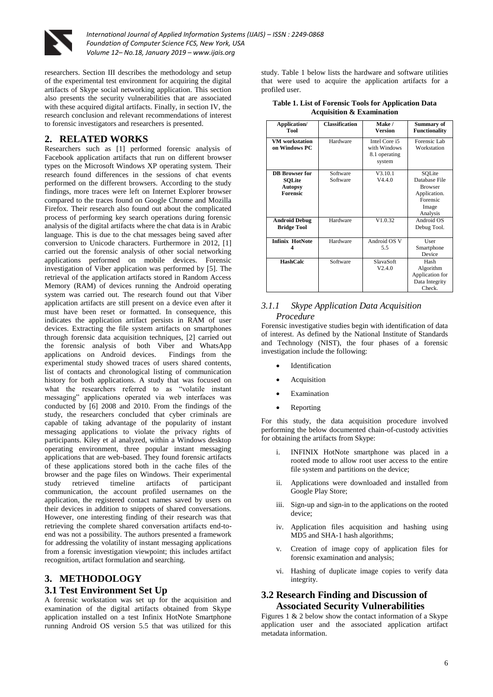

researchers. Section III describes the methodology and setup of the experimental test environment for acquiring the digital artifacts of Skype social networking application. This section also presents the security vulnerabilities that are associated with these acquired digital artifacts. Finally, in section IV, the research conclusion and relevant recommendations of interest to forensic investigators and researchers is presented.

## **2. RELATED WORKS**

Researchers such as [1] performed forensic analysis of Facebook application artifacts that run on different browser types on the Microsoft Windows XP operating system. Their research found differences in the sessions of chat events performed on the different browsers. According to the study findings, more traces were left on Internet Explorer browser compared to the traces found on Google Chrome and Mozilla Firefox. Their research also found out about the complicated process of performing key search operations during forensic analysis of the digital artifacts where the chat data is in Arabic language. This is due to the chat messages being saved after conversion to Unicode characters. Furthermore in 2012, [1] carried out the forensic analysis of other social networking applications performed on mobile devices. Forensic investigation of Viber application was performed by [5]. The retrieval of the application artifacts stored in Random Access Memory (RAM) of devices running the Android operating system was carried out. The research found out that Viber application artifacts are still present on a device even after it must have been reset or formatted. In consequence, this indicates the application artifact persists in RAM of user devices. Extracting the file system artifacts on smartphones through forensic data acquisition techniques, [2] carried out the forensic analysis of both Viber and WhatsApp applications on Android devices. Findings from the experimental study showed traces of users shared contents, list of contacts and chronological listing of communication history for both applications. A study that was focused on what the researchers referred to as "volatile instant messaging" applications operated via web interfaces was conducted by [6] 2008 and 2010. From the findings of the study, the researchers concluded that cyber criminals are capable of taking advantage of the popularity of instant messaging applications to violate the privacy rights of participants. Kiley et al analyzed, within a Windows desktop operating environment, three popular instant messaging applications that are web-based. They found forensic artifacts of these applications stored both in the cache files of the browser and the page files on Windows. Their experimental study retrieved timeline artifacts of participant communication, the account profiled usernames on the application, the registered contact names saved by users on their devices in addition to snippets of shared conversations. However, one interesting finding of their research was that retrieving the complete shared conversation artifacts end-toend was not a possibility. The authors presented a framework for addressing the volatility of instant messaging applications from a forensic investigation viewpoint; this includes artifact recognition, artifact formulation and searching.

## **3. METHODOLOGY 3.1 Test Environment Set Up**

A forensic workstation was set up for the acquisition and examination of the digital artifacts obtained from Skype application installed on a test Infinix HotNote Smartphone running Android OS version 5.5 that was utilized for this

study. Table 1 below lists the hardware and software utilities that were used to acquire the application artifacts for a profiled user.

| <b>Table 1. List of Forensic Tools for Application Data</b> |  |
|-------------------------------------------------------------|--|
| <b>Acquisition &amp; Examination</b>                        |  |

| Application/<br>Tool                                          | <b>Classification</b> | Make /<br>Version                                        | Summary of<br><b>Functionality</b>                                                         |
|---------------------------------------------------------------|-----------------------|----------------------------------------------------------|--------------------------------------------------------------------------------------------|
| <b>VM</b> workstation<br>on Windows PC                        | Hardware              | Intel Core i5<br>with Windows<br>8.1 operating<br>system | Forensic Lab<br>Workstation                                                                |
| <b>DB</b> Browser for<br>SQLite<br>Autopsy<br><b>Forensic</b> | Software<br>Software  | V3.10.1<br>V4.4.0                                        | SOLite<br>Database File<br><b>Browser</b><br>Application.<br>Forensic<br>Image<br>Analysis |
| <b>Android Debug</b><br><b>Bridge Tool</b>                    | Hardware              | V1.0.32                                                  | Android OS<br>Debug Tool.                                                                  |
| <b>Infinix HotNote</b>                                        | Hardware              | Android OS V<br>5.5                                      | <b>User</b><br>Smartphone<br>Device                                                        |
| <b>HashCalc</b>                                               | Software              | SlavaSoft<br>V2.4.0                                      | Hash<br>Algorithm<br>Application for<br>Data Integrity<br>Check.                           |

### *3.1.1 Skype Application Data Acquisition Procedure*

Forensic investigative studies begin with identification of data of interest. As defined by the National Institute of Standards and Technology (NIST), the four phases of a forensic investigation include the following:

- Identification
- Acquisition
- Examination
- Reporting

For this study, the data acquisition procedure involved performing the below documented chain-of-custody activities for obtaining the artifacts from Skype:

- i. INFINIX HotNote smartphone was placed in a rooted mode to allow root user access to the entire file system and partitions on the device;
- ii. Applications were downloaded and installed from Google Play Store;
- iii. Sign-up and sign-in to the applications on the rooted device;
- iv. Application files acquisition and hashing using MD5 and SHA-1 hash algorithms;
- v. Creation of image copy of application files for forensic examination and analysis;
- vi. Hashing of duplicate image copies to verify data integrity.

## **3.2 Research Finding and Discussion of Associated Security Vulnerabilities**

Figures 1 & 2 below show the contact information of a Skype application user and the associated application artifact metadata information.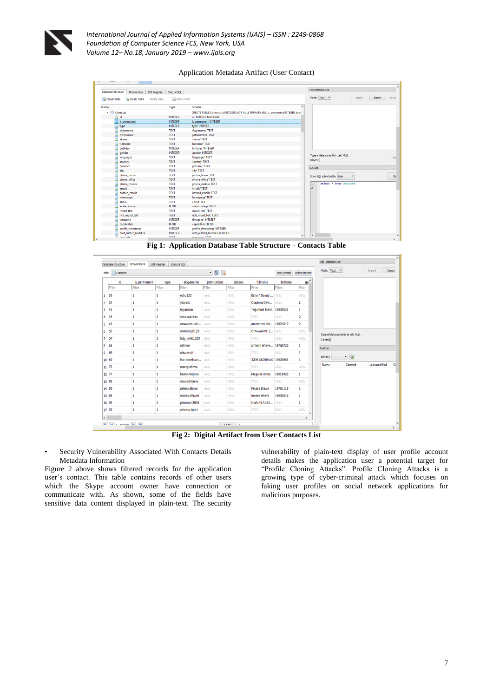

Application Metadata Artifact (User Contact)

| Database Structure<br><b>Browse Data</b><br>Edit Pragmas | Execute SOL    |                                                                                    | <b>Edit Database Cell</b>                         |
|----------------------------------------------------------|----------------|------------------------------------------------------------------------------------|---------------------------------------------------|
| Create Index<br>Create Table<br>Modify Table             | Delete Table   |                                                                                    | Set as<br>Mode: Text <b>v</b><br>Export<br>Import |
| Name                                                     | Type           | $\hat{\phantom{a}}$<br>Schema                                                      |                                                   |
| $\blacksquare$<br>Contacts                               |                | CREATE TABLE Contacts (id INTEGER NOT NULL PRIMARY KEY, is_permanent INTEGER, typi |                                                   |
| id                                                       | <b>INTEGER</b> | "id" INTEGER NOT NULL                                                              |                                                   |
| is_permanent                                             | <b>INTEGER</b> | 'is permanent' INTEGER                                                             |                                                   |
| type                                                     | <b>INTEGER</b> | 'type' INTEGER                                                                     |                                                   |
| skypename                                                | <b>TEXT</b>    | 'skypename' TEXT                                                                   |                                                   |
| pstnnumber                                               | <b>TEXT</b>    | 'pstnnumber' TEXT                                                                  |                                                   |
| aliases                                                  | <b>TEXT</b>    | 'aliases' TEXT                                                                     |                                                   |
| fullname                                                 | <b>TEXT</b>    | 'fullname' TEXT                                                                    |                                                   |
| birthday                                                 | <b>INTEGER</b> | "birthday" INTEGER                                                                 |                                                   |
| gender                                                   | <b>INTEGER</b> | 'gender' INTEGER                                                                   |                                                   |
| languages                                                | <b>TEXT</b>    | 'languages' TEXT                                                                   | Type of data currently in cell: NULL              |
| country                                                  | <b>TEXT</b>    | 'country' TEXT                                                                     | 0 byte(s)                                         |
| province                                                 | <b>TEXT</b>    | 'province' TEXT                                                                    | SQL Log                                           |
| city                                                     | <b>TEXT</b>    | 'city' TEXT                                                                        |                                                   |
| phone_home                                               | <b>TEXT</b>    | phone_home' TEXT                                                                   | Show SQL submitted by User<br>$\cdot$             |
| phone office                                             | <b>TEXT</b>    | 'phone office' TEXT                                                                |                                                   |
| phone_mobile                                             | <b>TEXT</b>    | 'phone_mobile' TEXT                                                                | select * from Contacts<br>1                       |
| emails                                                   | <b>TEXT</b>    | 'emails' TEXT                                                                      | 12                                                |
| hashed emails                                            | <b>TEXT</b>    | 'hashed emails' TEXT                                                               |                                                   |
| homepage                                                 | <b>TEXT</b>    | 'homepage' TEXT                                                                    |                                                   |
| about                                                    | <b>TEXT</b>    | 'about' TEXT                                                                       |                                                   |
| avatar image                                             | <b>BLOB</b>    | 'avatar image' BLOB                                                                |                                                   |
| mood_text                                                | <b>TEXT</b>    | 'mood_text' TEXT                                                                   |                                                   |
| rich_mood_text                                           | <b>TEXT</b>    | 'rich_mood_text' TEXT                                                              |                                                   |
| timezone                                                 | <b>INTEGER</b> | 'timezone' INTEGER                                                                 |                                                   |
| capabilities                                             | <b>BLOB</b>    | 'capabilities' BLOB                                                                |                                                   |
| profile timestamp                                        | <b>INTEGER</b> | 'profile_timestamp' INTEGER                                                        |                                                   |
| nrof authed buddies                                      | <b>INTEGER</b> | 'nrof authed buddies' INTEGER                                                      | $\epsilon$                                        |

**Fig 1: Application Database Table Structure – Contacts Table**

|                              | Database Structure | <b>Browse Data</b> | <b>Edit Pragmas</b> | Execute SOL    |             |             |                        |             |                               | <b>Edit Database Cell</b> |                                      |               |        |
|------------------------------|--------------------|--------------------|---------------------|----------------|-------------|-------------|------------------------|-------------|-------------------------------|---------------------------|--------------------------------------|---------------|--------|
|                              | Contacts<br>Table: |                    |                     |                | - 8 %       |             |                        | New Record  | <b>Delete Record</b>          | Mode: Text <b>v</b>       |                                      | Import        | Export |
|                              | id                 | is permanent       | type                | skypename      | pstnnumber  | aliases     | fullname               | birthdav    | $ge^{\wedge}$                 |                           |                                      |               |        |
|                              | Filter             | Filter             | Filter              | Filter         | Filter      | Filter      | Filter                 | Filter      | Filter                        |                           |                                      |               |        |
| 1                            | 33                 | 1                  | 1                   | echo123        | <b>NULL</b> | <b>NULL</b> | Echo / Sound  NULL     |             | <b>NULL</b>                   |                           |                                      |               |        |
|                              | 2, 37              | 1                  | 1                   | vdwest         | <b>NULL</b> | <b>NULL</b> | Olayinka Davi          | <b>NULL</b> | 2                             |                           |                                      |               |        |
|                              | $3 - 41$           | 1                  | 1                   | tejumann       | <b>NULL</b> | <b>NULL</b> | Tejumola Mann 19830531 |             | 1                             |                           |                                      |               |        |
| 4.                           | 45                 | 1                  | 1                   | venessaireze   | <b>NULL</b> | <b>NULL</b> | <b>NULL</b>            | <b>NULL</b> | 2                             |                           |                                      |               |        |
|                              | $5 - 49$           | 1                  | 1                   | omowumi.ehi    | NULL        | <b>NULL</b> | omowumi ehi            | 19821017    | $\overline{2}$                |                           |                                      |               |        |
| 6                            | 53                 | 1                  | 1                   | unmiangel123   | <b>NULL</b> | <b>NULL</b> | Omowunmi E             | <b>NULL</b> | <b>NULL</b>                   |                           | Type of data currently in cell: NULL |               |        |
|                              | 7 <sub>57</sub>    | 1                  | 1                   | lady_nikki1333 | <b>NULL</b> | <b>NULL</b> | <b>NULL</b>            | <b>NULL</b> | <b>NULL</b>                   | 0 byte(s)                 |                                      |               |        |
|                              | 8 61               | 1                  | 1                   | sehiwe         | <b>NULL</b> | <b>NULL</b> | simeon ehiwe 19760726  |             | 1                             | Remote                    |                                      |               |        |
|                              | 965                | 1                  | 1                   | olawande1      | <b>NULL</b> | <b>NULL</b> | <b>NULL</b>            | <b>NULL</b> | 1                             |                           |                                      |               |        |
|                              | 10 69              | 1                  | 1                   | live:okonkwoi  | <b>NULL</b> | <b>NULL</b> | IKEM OKONKWO 19920503  |             | 1                             | Identity                  | ø<br>$\overline{\phantom{a}}$        |               |        |
|                              | 11 73              | 1                  | 1                   | mercy.ehiwe    | <b>NULL</b> | <b>NULL</b> | <b>NULL</b>            | NULL        | <b>NULL</b>                   | Name                      | Commit                               | Last modified |        |
|                              | 12 77              | 1                  | 1                   | henry.megwai   | <b>NULL</b> | <b>NULL</b> | Megwai Henry           | 19010420    | 1                             |                           |                                      |               |        |
|                              | 13 81              | 1                  | 1                   | oluwadotiano   | <b>NULL</b> | <b>NULL</b> | <b>NULL</b>            | <b>NULL</b> | <b>NULL</b>                   |                           |                                      |               |        |
|                              | 14 85              | 1                  | 1                   | peters, ehiwe  | <b>NULL</b> | <b>NULL</b> | <b>Peters Ehivre</b>   | 19781118    | 1                             |                           |                                      |               |        |
|                              | 15 89              | 1                  | 1                   | moses.ehiwe1   | <b>NULL</b> | <b>NULL</b> | moses ehiwe            | 19650216    | 1                             |                           |                                      |               |        |
|                              | 16 93              | 1                  | 1                   | phemson2005    | <b>NULL</b> | <b>NULL</b> | Olufemi ADEA           | NULL        | 1                             |                           |                                      |               |        |
|                              | 17 97              | 1                  | 1                   | chioma.ikpa1   | <b>NULL</b> | <b>NULL</b> | <b>NULL</b>            | <b>NULL</b> | <b>NULL</b><br>$\overline{a}$ |                           |                                      |               |        |
| $\left\langle \right\rangle$ |                    |                    |                     |                |             |             |                        |             | $\rightarrow$                 |                           |                                      |               |        |

**Fig 2: Digital Artifact from User Contacts List**

• Security Vulnerability Associated With Contacts Details Metadata Information

Figure 2 above shows filtered records for the application user's contact. This table contains records of other users which the Skype account owner have connection or communicate with. As shown, some of the fields have sensitive data content displayed in plain-text. The security vulnerability of plain-text display of user profile account details makes the application user a potential target for "Profile Cloning Attacks". Profile Cloning Attacks is a growing type of cyber-criminal attack which focuses on faking user profiles on social network applications for malicious purposes.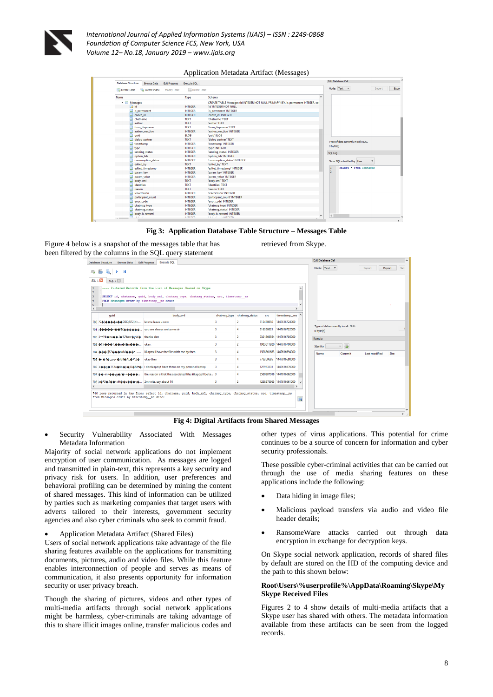

Application Metadata Artifact (Messages)

| <b>Database Structure</b>                  | <b>Browse Data</b> | Execute SQL<br>Edit Pragmas     |                                                                                   | <b>Edit Database Cell</b>            |
|--------------------------------------------|--------------------|---------------------------------|-----------------------------------------------------------------------------------|--------------------------------------|
| Create Table                               | Create Index       | Delete Table<br>Modify Table    |                                                                                   | Mode: Text <b>v</b><br>Import        |
| Name                                       |                    | Type                            | Schema<br>$\hat{\phantom{a}}$                                                     |                                      |
| 4 <b>III</b> Messages                      |                    |                                 | CREATE TABLE Messages (id INTEGER NOT NULL PRIMARY KEY, is permanent INTEGER, cor |                                      |
| id<br>ھ                                    |                    | <b>INTEGER</b>                  | "id" INTEGER NOT NULL                                                             |                                      |
| is_permanent                               |                    | <b>INTEGER</b>                  | "is permanent" INTEGER                                                            |                                      |
| convo_id                                   |                    | <b>INTEGER</b>                  | 'convo_id' INTEGER                                                                |                                      |
| chatname                                   |                    | <b>TEXT</b>                     | 'chatname' TEXT                                                                   |                                      |
| author                                     |                    | <b>TEXT</b>                     | 'author' TEXT                                                                     |                                      |
| from dispname                              |                    | <b>TEXT</b>                     | 'from dispname' TEXT                                                              |                                      |
| author was live                            |                    | <b>INTEGER</b>                  | 'author_was_live' INTEGER                                                         |                                      |
| guid                                       |                    | <b>BLOB</b>                     | "quid" BLOB                                                                       |                                      |
| dialog partner                             |                    | <b>TEXT</b>                     | 'dialog_partner' TEXT                                                             | Type of data currently in cell: NULL |
| timestamp                                  |                    | <b>INTEGER</b>                  | 'timestamp' INTEGER                                                               |                                      |
| type                                       |                    | <b>INTEGER</b>                  | 'type' INTEGER                                                                    | $0$ byte $(s)$                       |
| sending status                             |                    | <b>INTEGER</b>                  | 'sending status' INTEGER                                                          | SQL Log                              |
| option bits                                |                    | <b>INTEGER</b>                  | 'option bits' INTEGER                                                             |                                      |
|                                            | consumption_status | <b>INTEGER</b>                  | 'consumption_status' INTEGER                                                      | Show SOL submitted by User           |
| edited by                                  |                    | <b>TEXT</b>                     | 'edited_by' TEXT                                                                  |                                      |
|                                            | edited timestamp   | <b>INTEGER</b>                  | 'edited timestamp' INTEGER                                                        | select * from Contacts<br>1          |
| param_key                                  |                    | <b>INTEGER</b>                  | 'param key' INTEGER                                                               | $\overline{2}$                       |
| param_value                                |                    | <b>INTEGER</b>                  | 'param_value' INTEGER                                                             |                                      |
| body xml                                   |                    | <b>TEXT</b>                     | 'body_xml' TEXT                                                                   |                                      |
| identities                                 |                    | <b>TEXT</b>                     | "identities" TEXT                                                                 |                                      |
| reason                                     |                    | <b>TEXT</b>                     | 'reason' TEXT                                                                     |                                      |
| leavereason                                |                    | <b>INTEGER</b>                  | <b>Teavereason' INTEGER</b>                                                       |                                      |
|                                            | participant count  | <b>INTEGER</b>                  | 'participant_count' INTEGER                                                       |                                      |
| error code                                 |                    | <b>INTEGER</b>                  | 'error code' INTEGER                                                              |                                      |
| chatmsq_type                               |                    | <b>INTEGER</b>                  | 'chatmsq_type' INTEGER                                                            |                                      |
| chatmsq_status                             |                    | <b>INTEGER</b>                  | 'chatmsq_status' INTEGER                                                          |                                      |
| body is rawxml<br>$\overline{\phantom{a}}$ |                    | <b>INTEGER</b><br><b>WITCOR</b> | 'body is rawxml' INTEGER                                                          | $\epsilon$                           |

**Fig 3: Application Database Table Structure – Messages Table**

Figure 4 below is a snapshot of the messages table that has been filtered by the columns in the SQL query statement

| retrieved from Skype. |  |  |
|-----------------------|--|--|
|-----------------------|--|--|

| Database Structure<br><b>Browse Data</b>                    | <b>Edit Pragmas</b><br><b>Execute SQL</b>                                                                                                               |   |                             |     |                          |   | Edit Database Cell                                |               |        |     |
|-------------------------------------------------------------|---------------------------------------------------------------------------------------------------------------------------------------------------------|---|-----------------------------|-----|--------------------------|---|---------------------------------------------------|---------------|--------|-----|
| $\blacksquare$<br>м<br>Þ.                                   |                                                                                                                                                         |   |                             |     |                          |   | Mode: Text <b>v</b>                               | Import        | Export | Set |
| SQL 2<br><b>SQL 1 23</b>                                    |                                                                                                                                                         |   |                             |     |                          |   |                                                   |               |        |     |
| H<br>12<br>ls.<br>FROM Messages order by timestamp ms desc; | ---- Filtered Records from the List of Messages Shared on Skype<br>SELECT id, chatname, quid, body xml, chatmsq type, chatmsq status, crc, timestamp ms |   |                             |     |                          |   |                                                   |               |        |     |
|                                                             |                                                                                                                                                         |   |                             |     |                          |   |                                                   |               |        |     |
| Ł                                                           |                                                                                                                                                         |   |                             |     |                          |   |                                                   |               |        |     |
| quid                                                        | body xml                                                                                                                                                |   | chatmsq_type chatmsq_status | crc | timestamp ms             |   |                                                   |               |        |     |
|                                                             |                                                                                                                                                         | 3 | $\overline{2}$              |     | 512470850 1447616724000  |   |                                                   |               |        |     |
| 701 > 0000 00 X 000000. you are always welcome sir          |                                                                                                                                                         | R | Δ                           |     | 516350821 1447616722000  |   | Type of data currently in cell: NULL<br>0 byte(s) |               |        |     |
| 702 J -- Yb@nu@@ + @% bsw@yW@ thanks alot                   |                                                                                                                                                         | R | $\overline{2}$              |     | 2321866564 1447616705000 |   | Remote                                            |               |        |     |
| 703 6 16 4 4 5 1. 4 4 u 4 (4 n 4 4 4 x   okay.              |                                                                                                                                                         | 3 | $\overline{2}$              |     | 1983611920 1447616700000 |   | - 18<br>Identity                                  |               |        |     |
|                                                             | 704 ���(15-���oxMo ^-~ i'II have the files with me by then                                                                                              | R |                             |     | 1528361683 1447616694000 |   | <b>Name</b><br>Commit                             | Last modified | Size   |     |
| 705 + 070 US1<0JdX0AL0 20                                   | okay then                                                                                                                                               | 3 |                             |     | 776350685 1447616680000  |   |                                                   |               |        |     |
|                                                             | 706 koogoTFZao6bolio:DoM.oi I don't have them on my personal laptop                                                                                     | 3 |                             |     | 127973331 1447616676000  |   |                                                   |               |        |     |
|                                                             | 707 00 m <sup>+</sup> 00-g <sup>o</sup> /0- <sup>b</sup> 000 m the reason is that the associated files i' Il be ta 3                                    |   |                             |     | 2530987018 1447616662000 |   |                                                   |               |        |     |
|                                                             |                                                                                                                                                         | 3 | $\overline{2}$              |     | 4238378965 1447616661000 |   |                                                   |               |        |     |
|                                                             |                                                                                                                                                         |   |                             |     |                          |   |                                                   |               |        |     |
| from Messages order by timestamp ms desc;                   | 740 rows returned in 4ms from: select id, chatname, guid, body xml, chatmsg type, chatmsg status, crc, timestamp ms                                     |   |                             |     |                          | 国 |                                                   |               |        |     |
|                                                             |                                                                                                                                                         |   |                             |     |                          |   |                                                   |               |        |     |

**Fig 4: Digital Artifacts from Shared Messages**

 Security Vulnerability Associated With Messages Metadata Information

Majority of social network applications do not implement encryption of user communication. As messages are logged and transmitted in plain-text, this represents a key security and privacy risk for users. In addition, user preferences and behavioral profiling can be determined by mining the content of shared messages. This kind of information can be utilized by parties such as marketing companies that target users with adverts tailored to their interests, government security agencies and also cyber criminals who seek to commit fraud.

Application Metadata Artifact (Shared Files)

Users of social network applications take advantage of the file sharing features available on the applications for transmitting documents, pictures, audio and video files. While this feature enables interconnection of people and serves as means of communication, it also presents opportunity for information security or user privacy breach.

Though the sharing of pictures, videos and other types of multi-media artifacts through social network applications might be harmless, cyber-criminals are taking advantage of this to share illicit images online, transfer malicious codes and

other types of virus applications. This potential for crime continues to be a source of concern for information and cyber security professionals.

These possible cyber-criminal activities that can be carried out through the use of media sharing features on these applications include the following:

- Data hiding in image files;
- Malicious payload transfers via audio and video file header details;
- RansomeWare attacks carried out through data encryption in exchange for decryption keys.

On Skype social network application, records of shared files by default are stored on the HD of the computing device and the path to this shown below:

#### **Root\Users\%userprofile%\AppData\Roaming\Skype\My Skype Received Files**

Figures 2 to 4 show details of multi-media artifacts that a Skype user has shared with others. The metadata information available from these artifacts can be seen from the logged records.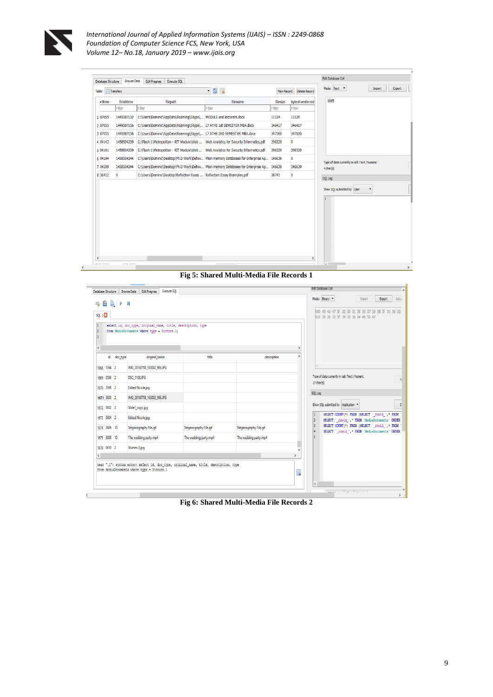

 $\overline{\mathbf{C}}$ 

*International Journal of Applied Information Systems (IJAIS) – ISSN : 2249-0868 Foundation of Computer Science FCS, New York, USA Volume 12– No.18, January 2019 – www.ijais.org*

| 1065<br>finishtime<br>filepath<br>filename<br>filesize<br>bytestransferred<br>arttime<br>Filter<br>Filter<br>Filter<br>Filter<br>Filter<br>C:\Users\Dominic\AppData\Roaming\Skype\ MODULE and lecturers.docx<br>1449387132<br>1 87055<br>11124<br>11124<br>2 87055<br>C:\Users\Dominic\AppData\Roaming\Skype\ L7 ATHE 1st SEMESTER MBA.docx<br>346417<br>1449387156<br>346417<br>C:\Users\Dominic\AppData\Roaminq\Skype\  L7 ATHE 2ND SEMESTER MBA.docx<br>347109<br>3 87055<br>1449387156<br>347109<br>$\bullet$<br>4 04142<br>1458504239<br>G:\Flash 1\Metropolitan - RIT Module\Web    Web Analytics for Security Informatics.pdf<br>290329<br>G:\Flash 1\Metropolitan - RIT Module\Web  Web Analytics for Security Informatics.pdf<br>5 04161<br>1458504239<br>290329<br>290329<br>1458504244<br>C:\Users\Dominic\Desktop\Ph.D Work\Dehiw Main memory Databases for Enterprise Ap<br>$\bullet$<br>6 04194<br>146639<br>Type of data currently in cell: Text / Numeric<br>C:\Users\Dominic\Desktop\Ph.D Work\Dehiw Main memory Databases for Enterprise Ap<br>7 04199<br>1458504244<br>146639<br>146639<br>4 char(s)<br>8 36412<br>$\mathbf{0}$<br>C:\Users\Dominic\Desktop\Reflection Essay  Reflection Essay Examples.pdf<br>38741<br>$\bullet$<br>SQL Log<br>Show SQL submitted by User<br>1 | Table: | Transfers | • 图 % | New Record | Delete Record | Mode: Text <b>v</b><br>Export<br>Import |
|----------------------------------------------------------------------------------------------------------------------------------------------------------------------------------------------------------------------------------------------------------------------------------------------------------------------------------------------------------------------------------------------------------------------------------------------------------------------------------------------------------------------------------------------------------------------------------------------------------------------------------------------------------------------------------------------------------------------------------------------------------------------------------------------------------------------------------------------------------------------------------------------------------------------------------------------------------------------------------------------------------------------------------------------------------------------------------------------------------------------------------------------------------------------------------------------------------------------------------------------------------------------------------------------------|--------|-----------|-------|------------|---------------|-----------------------------------------|
|                                                                                                                                                                                                                                                                                                                                                                                                                                                                                                                                                                                                                                                                                                                                                                                                                                                                                                                                                                                                                                                                                                                                                                                                                                                                                                    |        |           |       |            |               |                                         |
|                                                                                                                                                                                                                                                                                                                                                                                                                                                                                                                                                                                                                                                                                                                                                                                                                                                                                                                                                                                                                                                                                                                                                                                                                                                                                                    |        |           |       |            |               |                                         |
|                                                                                                                                                                                                                                                                                                                                                                                                                                                                                                                                                                                                                                                                                                                                                                                                                                                                                                                                                                                                                                                                                                                                                                                                                                                                                                    |        |           |       |            |               |                                         |
|                                                                                                                                                                                                                                                                                                                                                                                                                                                                                                                                                                                                                                                                                                                                                                                                                                                                                                                                                                                                                                                                                                                                                                                                                                                                                                    |        |           |       |            |               |                                         |
|                                                                                                                                                                                                                                                                                                                                                                                                                                                                                                                                                                                                                                                                                                                                                                                                                                                                                                                                                                                                                                                                                                                                                                                                                                                                                                    |        |           |       |            |               |                                         |
|                                                                                                                                                                                                                                                                                                                                                                                                                                                                                                                                                                                                                                                                                                                                                                                                                                                                                                                                                                                                                                                                                                                                                                                                                                                                                                    |        |           |       |            |               |                                         |
|                                                                                                                                                                                                                                                                                                                                                                                                                                                                                                                                                                                                                                                                                                                                                                                                                                                                                                                                                                                                                                                                                                                                                                                                                                                                                                    |        |           |       |            |               |                                         |
|                                                                                                                                                                                                                                                                                                                                                                                                                                                                                                                                                                                                                                                                                                                                                                                                                                                                                                                                                                                                                                                                                                                                                                                                                                                                                                    |        |           |       |            |               |                                         |
|                                                                                                                                                                                                                                                                                                                                                                                                                                                                                                                                                                                                                                                                                                                                                                                                                                                                                                                                                                                                                                                                                                                                                                                                                                                                                                    |        |           |       |            |               |                                         |
|                                                                                                                                                                                                                                                                                                                                                                                                                                                                                                                                                                                                                                                                                                                                                                                                                                                                                                                                                                                                                                                                                                                                                                                                                                                                                                    |        |           |       |            |               |                                         |
|                                                                                                                                                                                                                                                                                                                                                                                                                                                                                                                                                                                                                                                                                                                                                                                                                                                                                                                                                                                                                                                                                                                                                                                                                                                                                                    |        |           |       |            |               |                                         |

**Fig 5: Shared Multi-Media File Records 1**

| Database Structure                                  |              | Execute SOL<br><b>Browse Data</b><br><b>Edit Pragmas</b>                                                                            |                        |                        | <b>Edit Database Cell</b>                                                                                                               |
|-----------------------------------------------------|--------------|-------------------------------------------------------------------------------------------------------------------------------------|------------------------|------------------------|-----------------------------------------------------------------------------------------------------------------------------------------|
| 鲁<br>与<br>SQL 1<br>$\vert$ 1<br>$\overline{2}$<br>3 | <b>BID</b> M | select id, doc type, original name, title, description, type<br>from MediaDocuments where type = Picture.1;                         |                        |                        | Mode: Binary<br>Seta<br>Import<br>Export<br>000 49 4d 47 5f 32 30 31 36 30 37 30 38 5f 31 36 33<br>010 30 30 32 5f 39 30 36 2e 4a 50 47 |
| $\langle$                                           |              |                                                                                                                                     |                        |                        |                                                                                                                                         |
|                                                     | id doc_type  | original name                                                                                                                       | title                  | description            |                                                                                                                                         |
| 1668 3594 2                                         |              | IMG 20160708 163002 906JPG                                                                                                          |                        |                        |                                                                                                                                         |
| 1669 3596 2                                         |              | <b>DSC 1108JPG</b>                                                                                                                  |                        |                        | Type of data currently in cell: Text / Numeric<br>A                                                                                     |
| 1670 3598 2                                         |              | <b>Edited Nicole.jpg</b>                                                                                                            |                        |                        | 27 char(s)                                                                                                                              |
| 1671 3600 2                                         |              | IMG_20160708_163002_906JPG                                                                                                          |                        |                        | SQL Log                                                                                                                                 |
| 1672 3602 2                                         |              | Slide1_copy.jpg                                                                                                                     |                        |                        | Show SQL submitted by Application<br>C                                                                                                  |
| 1673 3604 2                                         |              | <b>Edited Nicole.jpg</b>                                                                                                            |                        |                        | SELECT COUNT(*) FROM (SELECT ' rowid ',* FROM<br>1<br>SELECT ' rowid ',* FROM 'MediaDocuments' ORDER<br>12                              |
| 1674 3606 10                                        |              | Steganography File.gif                                                                                                              | Steganography File.gif | Steganography File.gif | SELECT COUNT(*) FROM (SELECT ' rowid ',* FROM<br>13<br>SELECT ' rowid ', * FROM 'MediaDocuments' ORDER                                  |
| 1675 3608 10                                        |              | The wedding party.mp4                                                                                                               | The wedding party.mp4  | The wedding party.mp4  |                                                                                                                                         |
| 1676 3610 2                                         |              | Wunmi 3.jpg                                                                                                                         |                        |                        |                                                                                                                                         |
| $\left\langle \right\rangle$                        |              |                                                                                                                                     |                        |                        |                                                                                                                                         |
|                                                     |              | near ".1": syntax error: select id, doc type, original name, title, description, type<br>from MediaDocuments where type = Picture.1 |                        |                        | t.                                                                                                                                      |
|                                                     |              |                                                                                                                                     |                        |                        | $\overline{\left( \right. }%$                                                                                                           |
|                                                     |              |                                                                                                                                     |                        |                        | $\sim$<br>The collection of the<br>$\rightarrow$                                                                                        |

**Fig 6: Shared Multi-Media File Records 2**